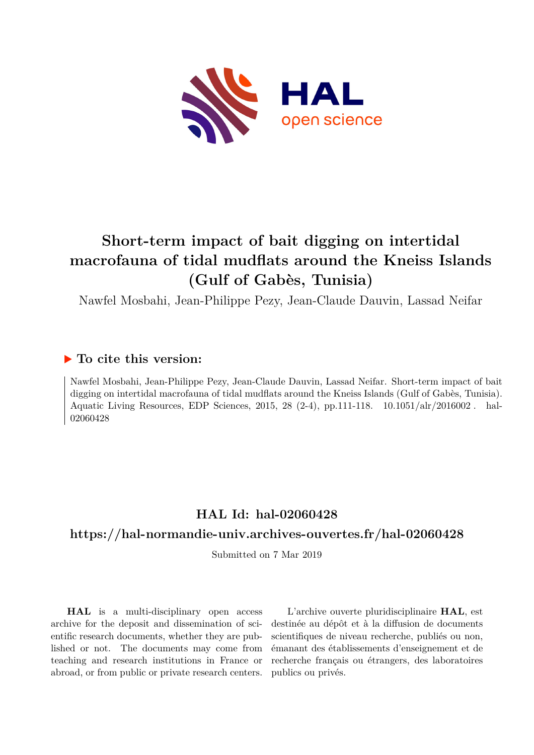

# **Short-term impact of bait digging on intertidal macrofauna of tidal mudflats around the Kneiss Islands (Gulf of Gabès, Tunisia)**

Nawfel Mosbahi, Jean-Philippe Pezy, Jean-Claude Dauvin, Lassad Neifar

## **To cite this version:**

Nawfel Mosbahi, Jean-Philippe Pezy, Jean-Claude Dauvin, Lassad Neifar. Short-term impact of bait digging on intertidal macrofauna of tidal mudflats around the Kneiss Islands (Gulf of Gabès, Tunisia). Aquatic Living Resources, EDP Sciences, 2015, 28 (2-4), pp.111-118. 10.1051/alr/2016002. hal-02060428

## **HAL Id: hal-02060428**

### **<https://hal-normandie-univ.archives-ouvertes.fr/hal-02060428>**

Submitted on 7 Mar 2019

**HAL** is a multi-disciplinary open access archive for the deposit and dissemination of scientific research documents, whether they are published or not. The documents may come from teaching and research institutions in France or abroad, or from public or private research centers.

L'archive ouverte pluridisciplinaire **HAL**, est destinée au dépôt et à la diffusion de documents scientifiques de niveau recherche, publiés ou non, émanant des établissements d'enseignement et de recherche français ou étrangers, des laboratoires publics ou privés.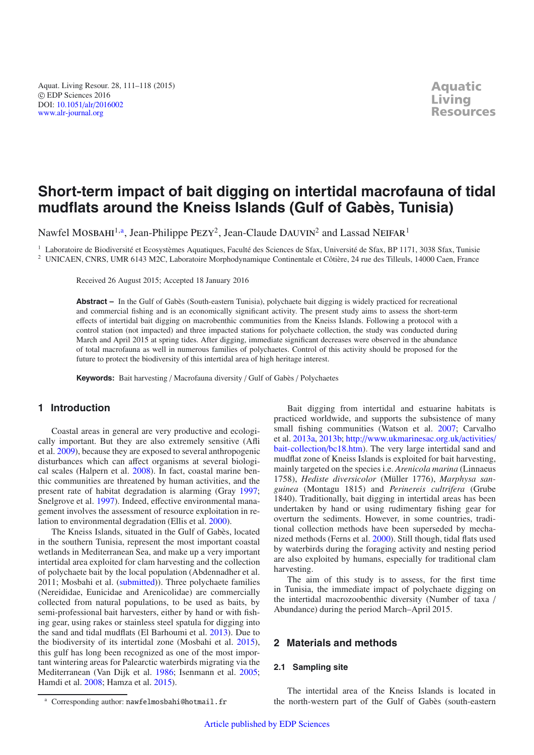Aquat. Living Resour. 28, 111–118 (2015) © EDP Sciences 2016 DOI: 10.1051/alr/[2016002](http://dx.doi.org/10.1051/alr/2016002) [www.alr-journal.org](http://www.alr-journal.org)

## **Short-term impact of bait digging on intertidal macrofauna of tidal mudflats around the Kneiss Islands (Gulf of Gabès, Tunisia)**

Nawfel MOSBAHI<sup>1,a</sup>, Jean-Philippe PEZY<sup>2</sup>, Jean-Claude DAUVIN<sup>2</sup> and Lassad NEIFAR<sup>1</sup>

<sup>1</sup> Laboratoire de Biodiversité et Ecosystèmes Aquatiques, Faculté des Sciences de Sfax, Université de Sfax, BP 1171, 3038 Sfax, Tunisie <sup>2</sup> UNICAEN, CNRS, UMR 6143 M2C, Laboratoire Morphodynamique Continentale et Côtière, 24 rue des Tilleuls, 14000 Caen, France

Received 26 August 2015; Accepted 18 January 2016

**Abstract –** In the Gulf of Gabès (South-eastern Tunisia), polychaete bait digging is widely practiced for recreational and commercial fishing and is an economically significant activity. The present study aims to assess the short-term effects of intertidal bait digging on macrobenthic communities from the Kneiss Islands. Following a protocol with a control station (not impacted) and three impacted stations for polychaete collection, the study was conducted during March and April 2015 at spring tides. After digging, immediate significant decreases were observed in the abundance of total macrofauna as well in numerous families of polychaetes. Control of this activity should be proposed for the future to protect the biodiversity of this intertidal area of high heritage interest.

**Keywords:** Bait harvesting / Macrofauna diversity / Gulf of Gabès / Polychaetes

#### **1 Introduction**

Coastal areas in general are very productive and ecologically important. But they are also extremely sensitive (Afli et al. 2009), because they are exposed to several anthropogenic disturbances which can affect organisms at several biological scales (Halpern et al. 2008). In fact, coastal marine benthic communities are threatened by human activities, and the present rate of habitat degradation is alarming (Gray 1997; Snelgrove et al. 1997). Indeed, effective environmental management involves the assessment of resource exploitation in relation to environmental degradation (Ellis et al. 2000).

The Kneiss Islands, situated in the Gulf of Gabès, located in the southern Tunisia, represent the most important coastal wetlands in Mediterranean Sea, and make up a very important intertidal area exploited for clam harvesting and the collection of polychaete bait by the local population (Abdennadher et al. 2011; Mosbahi et al. (submitted)). Three polychaete families (Nereididae, Eunicidae and Arenicolidae) are commercially collected from natural populations, to be used as baits, by semi-professional bait harvesters, either by hand or with fishing gear, using rakes or stainless steel spatula for digging into the sand and tidal mudflats (El Barhoumi et al. 2013). Due to the biodiversity of its intertidal zone (Mosbahi et al. 2015), this gulf has long been recognized as one of the most important wintering areas for Palearctic waterbirds migrating via the Mediterranean (Van Dijk et al. 1986; Isenmann et al. 2005; Hamdi et al. 2008; Hamza et al. 2015).

Bait digging from intertidal and estuarine habitats is practiced worldwide, and supports the subsistence of many small fishing communities (Watson et al. 2007; Carvalho et al. 2013a, 2013b; http://[www.ukmarinesac.org.uk](http://www.ukmarinesac.org.uk/activities/bait-collection/bc18.htm)/activities/ [bait-collection](http://www.ukmarinesac.org.uk/activities/bait-collection/bc18.htm)/bc18.htm). The very large intertidal sand and mudflat zone of Kneiss Islands is exploited for bait harvesting, mainly targeted on the species i.e. *Arenicola marina* (Linnaeus 1758), *Hediste diversicolor* (Müller 1776), *Marphysa sanguinea* (Montagu 1815) and *Perinereis cultrifera* (Grube 1840). Traditionally, bait digging in intertidal areas has been undertaken by hand or using rudimentary fishing gear for overturn the sediments. However, in some countries, traditional collection methods have been superseded by mechanized methods (Ferns et al. 2000). Still though, tidal flats used by waterbirds during the foraging activity and nesting period are also exploited by humans, especially for traditional clam harvesting.

The aim of this study is to assess, for the first time in Tunisia, the immediate impact of polychaete digging on the intertidal macrozoobenthic diversity (Number of taxa / Abundance) during the period March–April 2015.

#### **2 Materials and methods**

#### **2.1 Sampling site**

The intertidal area of the Kneiss Islands is located in the north-western part of the Gulf of Gabès (south-eastern

Corresponding author: nawfelmosbahi@hotmail.fr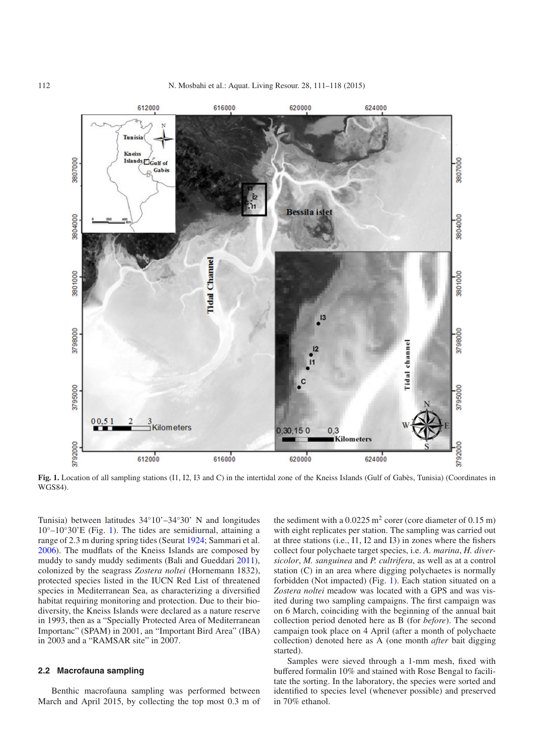

**Fig. 1.** Location of all sampling stations (I1, I2, I3 and C) in the intertidal zone of the Kneiss Islands (Gulf of Gabès, Tunisia) (Coordinates in WGS84).

Tunisia) between latitudes 34◦10'–34◦30' N and longitudes  $10^{\circ}$ – $10^{\circ}30'$ E (Fig. 1). The tides are semidiurnal, attaining a range of 2.3 m during spring tides (Seurat 1924; Sammari et al. 2006). The mudflats of the Kneiss Islands are composed by muddy to sandy muddy sediments (Bali and Gueddari 2011), colonized by the seagrass *Zostera noltei* (Hornemann 1832), protected species listed in the IUCN Red List of threatened species in Mediterranean Sea, as characterizing a diversified habitat requiring monitoring and protection. Due to their biodiversity, the Kneiss Islands were declared as a nature reserve in 1993, then as a "Specially Protected Area of Mediterranean Importanc" (SPAM) in 2001, an "Important Bird Area" (IBA) in 2003 and a "RAMSAR site" in 2007.

#### **2.2 Macrofauna sampling**

Benthic macrofauna sampling was performed between March and April 2015, by collecting the top most 0.3 m of the sediment with a  $0.0225 \text{ m}^2$  corer (core diameter of  $0.15 \text{ m}$ ) with eight replicates per station. The sampling was carried out at three stations (i.e., I1, I2 and I3) in zones where the fishers collect four polychaete target species, i.e. *A. marina*, *H. diversicolor*, *M. sanguinea* and *P. cultrifera*, as well as at a control station (C) in an area where digging polychaetes is normally forbidden (Not impacted) (Fig. 1). Each station situated on a *Zostera noltei* meadow was located with a GPS and was visited during two sampling campaigns. The first campaign was on 6 March, coinciding with the beginning of the annual bait collection period denoted here as B (for *before*). The second campaign took place on 4 April (after a month of polychaete collection) denoted here as A (one month *after* bait digging started).

Samples were sieved through a 1-mm mesh, fixed with buffered formalin 10% and stained with Rose Bengal to facilitate the sorting. In the laboratory, the species were sorted and identified to species level (whenever possible) and preserved in 70% ethanol.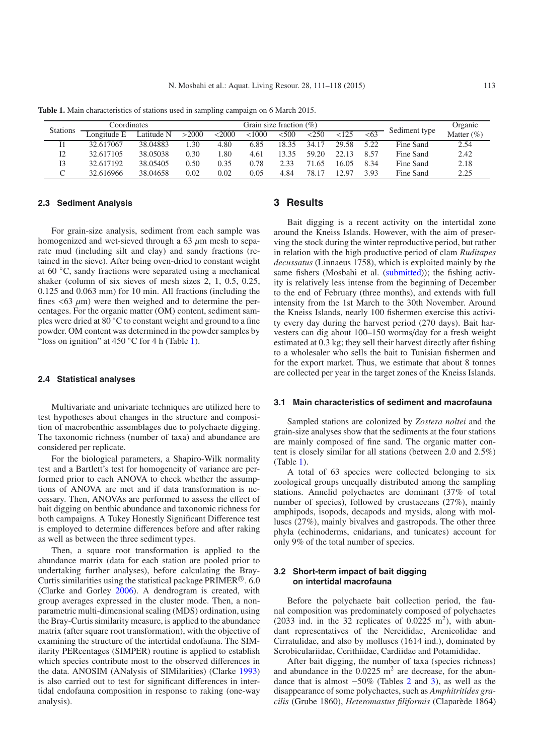**Table 1.** Main characteristics of stations used in sampling campaign on 6 March 2015.

| Coordinates     |             |            | Grain size fraction $(\% )$ |          |        |       |       |       | Organic |               |               |
|-----------------|-------------|------------|-----------------------------|----------|--------|-------|-------|-------|---------|---------------|---------------|
| <b>Stations</b> | Longitude E | Latitude N | >2000                       | $<$ 2000 | < 1000 | <500  | <250  | < 125 | <63     | Sediment type | Matter $(\%)$ |
|                 | 32.617067   | 38.04883   | .30                         | 4.80     | 6.85   | 18.35 | 34.17 | 29.58 | 522     | Fine Sand     | 2.54          |
| I2              | 32.617105   | 38.05038   | 0.30                        | -.80     | 4.61   | 13.35 | 59.20 | 2213  | 8.57    | Fine Sand     | 2.42          |
| I3              | 32.617192   | 38.05405   | 0.50                        | 0.35     | 0.78   | 2.33  | 1.65  | 16.05 | 8.34    | Fine Sand     | 2.18          |
|                 | 32.616966   | 38.04658   | 0.02                        | 0.02     | 0.05   | 4.84  | 78.17 | 2.97  | 3.93    | Fine Sand     | 2.25          |

#### **2.3 Sediment Analysis**

For grain-size analysis, sediment from each sample was homogenized and wet-sieved through a 63  $\mu$ m mesh to separate mud (including silt and clay) and sandy fractions (retained in the sieve). After being oven-dried to constant weight at 60 ◦C, sandy fractions were separated using a mechanical shaker (column of six sieves of mesh sizes 2, 1, 0.5, 0.25, 0.125 and 0.063 mm) for 10 min. All fractions (including the fines  $\langle 63 \mu m \rangle$  were then weighed and to determine the percentages. For the organic matter (OM) content, sediment samples were dried at 80 ◦C to constant weight and ground to a fine powder. OM content was determined in the powder samples by "loss on ignition" at  $450$  °C for 4 h (Table 1).

#### **2.4 Statistical analyses**

Multivariate and univariate techniques are utilized here to test hypotheses about changes in the structure and composition of macrobenthic assemblages due to polychaete digging. The taxonomic richness (number of taxa) and abundance are considered per replicate.

For the biological parameters, a Shapiro-Wilk normality test and a Bartlett's test for homogeneity of variance are performed prior to each ANOVA to check whether the assumptions of ANOVA are met and if data transformation is necessary. Then, ANOVAs are performed to assess the effect of bait digging on benthic abundance and taxonomic richness for both campaigns. A Tukey Honestly Significant Difference test is employed to determine differences before and after raking as well as between the three sediment types.

Then, a square root transformation is applied to the abundance matrix (data for each station are pooled prior to undertaking further analyses), before calculating the Bray-Curtis similarities using the statistical package PRIMER $^{\circledR}$ . 6.0 (Clarke and Gorley 2006). A dendrogram is created, with group averages expressed in the cluster mode. Then, a nonparametric multi-dimensional scaling (MDS) ordination, using the Bray-Curtis similarity measure, is applied to the abundance matrix (after square root transformation), with the objective of examining the structure of the intertidal endofauna. The SIMilarity PERcentages (SIMPER) routine is applied to establish which species contribute most to the observed differences in the data. ANOSIM (ANalysis of SIMilarities) (Clarke 1993) is also carried out to test for significant differences in intertidal endofauna composition in response to raking (one-way analysis).

#### **3 Results**

Bait digging is a recent activity on the intertidal zone around the Kneiss Islands. However, with the aim of preserving the stock during the winter reproductive period, but rather in relation with the high productive period of clam *Ruditapes decussatus* (Linnaeus 1758), which is exploited mainly by the same fishers (Mosbahi et al. (submitted)); the fishing activity is relatively less intense from the beginning of December to the end of February (three months), and extends with full intensity from the 1st March to the 30th November. Around the Kneiss Islands, nearly 100 fishermen exercise this activity every day during the harvest period (270 days). Bait harvesters can dig about 100–150 worms/day for a fresh weight estimated at 0.3 kg; they sell their harvest directly after fishing to a wholesaler who sells the bait to Tunisian fishermen and for the export market. Thus, we estimate that about 8 tonnes are collected per year in the target zones of the Kneiss Islands.

#### **3.1 Main characteristics of sediment and macrofauna**

Sampled stations are colonized by *Zostera noltei* and the grain-size analyses show that the sediments at the four stations are mainly composed of fine sand. The organic matter content is closely similar for all stations (between 2.0 and 2.5%) (Table 1).

A total of 63 species were collected belonging to six zoological groups unequally distributed among the sampling stations. Annelid polychaetes are dominant (37% of total number of species), followed by crustaceans (27%), mainly amphipods, isopods, decapods and mysids, along with molluscs (27%), mainly bivalves and gastropods. The other three phyla (echinoderms, cnidarians, and tunicates) account for only 9% of the total number of species.

#### **3.2 Short-term impact of bait digging on intertidal macrofauna**

Before the polychaete bait collection period, the faunal composition was predominately composed of polychaetes (2033 ind. in the 32 replicates of  $0.0225 \text{ m}^2$ ), with abundant representatives of the Nereididae, Arenicolidae and Cirratulidae, and also by molluscs (1614 ind.), dominated by Scrobiculariidae, Cerithiidae, Cardiidae and Potamididae.

After bait digging, the number of taxa (species richness) and abundance in the  $0.0225$  m<sup>2</sup> are decrease, for the abundance that is almost −50% (Tables 2 and 3), as well as the disappearance of some polychaetes, such as *Amphitritides gracilis* (Grube 1860), *Heteromastus filiformis* (Claparède 1864)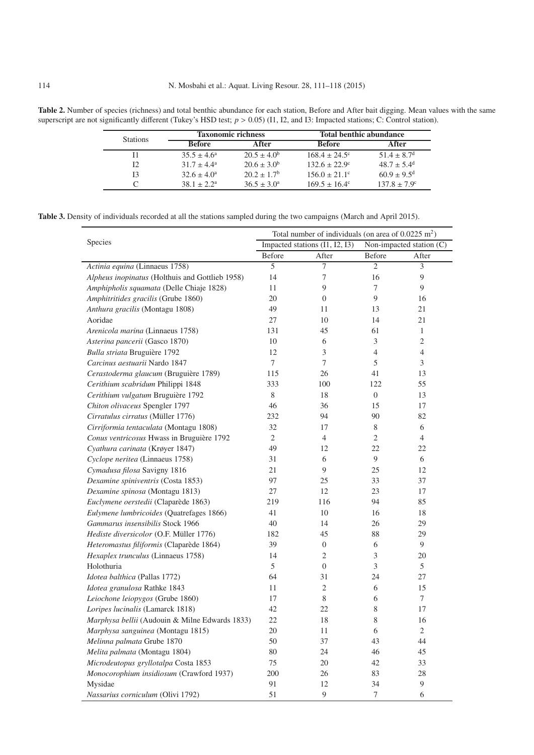Table 2. Number of species (richness) and total benthic abundance for each station, Before and After bait digging. Mean values with the same superscript are not significantly different (Tukey's HSD test;  $p > 0.05$ ) (I1, I2, and I3: Impacted stations; C: Control station).

| <b>Stations</b> |                        | <b>Taxonomic richness</b> | <b>Total benthic abundance</b> |                             |  |  |
|-----------------|------------------------|---------------------------|--------------------------------|-----------------------------|--|--|
|                 | <b>Before</b>          | After                     | <b>Before</b>                  | After                       |  |  |
|                 | $35.5 \pm 4.6^{\circ}$ | $20.5 \pm 4.0^b$          | $168.4 \pm 24.5^{\circ}$       | $51.4 \pm 8.7$ <sup>d</sup> |  |  |
| 12              | $31.7 + 4.4^a$         | $20.6 \pm 3.0^b$          | $132.6 \pm 22.9^{\circ}$       | $48.7 + 5.4^{\text{d}}$     |  |  |
| 13              | $32.6 \pm 4.0^a$       | $20.2 + 1.7^b$            | $156.0 \pm 21.1^{\circ}$       | $60.9 \pm 9.5$ <sup>d</sup> |  |  |
|                 | $38.1 + 2.2a$          | $36.5 \pm 3.0^{\circ}$    | $169.5 \pm 16.4^{\circ}$       | $137.8 \pm 7.9^{\circ}$     |  |  |

**Table 3.** Density of individuals recorded at all the stations sampled during the two campaigns (March and April 2015).

|                                                 | Total number of individuals (on area of $0.0225 \text{ m}^2$ ) |                          |                |  |  |  |
|-------------------------------------------------|----------------------------------------------------------------|--------------------------|----------------|--|--|--|
| Species                                         | Impacted stations (I1, I2, I3)                                 | Non-impacted station (C) |                |  |  |  |
|                                                 | Before<br>After                                                | Before                   | After          |  |  |  |
| Actinia equina (Linnaeus 1758)                  | 5<br>7                                                         | $\overline{c}$           | 3              |  |  |  |
| Alpheus inopinatus (Holthuis and Gottlieb 1958) | 14<br>7                                                        | 16                       | 9              |  |  |  |
| Amphipholis squamata (Delle Chiaje 1828)        | 9<br>11                                                        | 7                        | 9              |  |  |  |
| Amphitritides gracilis (Grube 1860)             | 20<br>$\overline{0}$                                           | 9                        | 16             |  |  |  |
| Anthura gracilis (Montagu 1808)                 | 49<br>11                                                       | 13                       | 21             |  |  |  |
| Aoridae                                         | 27<br>10                                                       | 14                       | 21             |  |  |  |
| Arenicola marina (Linnaeus 1758)                | 45<br>131                                                      | 61                       | 1              |  |  |  |
| Asterina pancerii (Gasco 1870)                  | 10<br>6                                                        | 3                        | $\mathfrak{2}$ |  |  |  |
| Bulla striata Bruguière 1792                    | 3<br>12                                                        | $\overline{4}$           | $\overline{4}$ |  |  |  |
| Carcinus aestuarii Nardo 1847                   | $\overline{7}$<br>7                                            | 5                        | 3              |  |  |  |
| Cerastoderma glaucum (Bruguière 1789)           | 115<br>26                                                      | 41                       | 13             |  |  |  |
| Cerithium scabridum Philippi 1848               | 333<br>100                                                     | 122                      | 55             |  |  |  |
| Cerithium vulgatum Bruguière 1792               | 8<br>18                                                        | $\overline{0}$           | 13             |  |  |  |
| Chiton olivaceus Spengler 1797                  | 36<br>46                                                       | 15                       | 17             |  |  |  |
| Cirratulus cirratus (Müller 1776)               | 232<br>94                                                      | 90                       | 82             |  |  |  |
| Cirriformia tentaculata (Montagu 1808)          | 32<br>17                                                       | 8                        | 6              |  |  |  |
| Conus ventricosus Hwass in Bruguière 1792       | $\overline{2}$<br>$\overline{4}$                               | 2                        | 4              |  |  |  |
| Cyathura carinata (Krøyer 1847)                 | 49<br>12                                                       | 22                       | 22             |  |  |  |
| Cyclope neritea (Linnaeus 1758)                 | 6<br>31                                                        | 9                        | 6              |  |  |  |
| Cymadusa filosa Savigny 1816                    | 9<br>21                                                        | 25                       | 12             |  |  |  |
| Dexamine spiniventris (Costa 1853)              | 97<br>25                                                       | 33                       | 37             |  |  |  |
| Dexamine spinosa (Montagu 1813)                 | 12<br>27                                                       | 23                       | 17             |  |  |  |
| Euclymene oerstedii (Claparède 1863)            | 219<br>116                                                     | 94                       | 85             |  |  |  |
| Eulymene lumbricoides (Quatrefages 1866)        | 41<br>10                                                       | 16                       | 18             |  |  |  |
| Gammarus insensibilis Stock 1966                | 40<br>14                                                       | 26                       | 29             |  |  |  |
| Hediste diversicolor (O.F. Müller 1776)         | 45<br>182                                                      | 88                       | 29             |  |  |  |
| Heteromastus filiformis (Claparède 1864)        | 39<br>$\boldsymbol{0}$                                         | 6                        | 9              |  |  |  |
| Hexaplex trunculus (Linnaeus 1758)              | 2<br>14                                                        | 3                        | 20             |  |  |  |
| Holothuria                                      | 5<br>$\boldsymbol{0}$                                          | 3                        | 5              |  |  |  |
| Idotea balthica (Pallas 1772)                   | 31<br>64                                                       | 24                       | 27             |  |  |  |
| Idotea granulosa Rathke 1843                    | $\overline{c}$<br>11                                           | 6                        | 15             |  |  |  |
| Leiochone leiopygos (Grube 1860)                | 8<br>17                                                        | 6                        | 7              |  |  |  |
| Loripes lucinalis (Lamarck 1818)                | 42<br>22                                                       | 8                        | 17             |  |  |  |
| Marphysa bellii (Audouin & Milne Edwards 1833)  | 18<br>22                                                       | 8                        | 16             |  |  |  |
| Marphysa sanguinea (Montagu 1815)               | $20\,$<br>11                                                   | 6                        | $\overline{c}$ |  |  |  |
| Melinna palmata Grube 1870                      | 37<br>50                                                       | 43                       | 44             |  |  |  |
| Melita palmata (Montagu 1804)                   | 80<br>24                                                       | 46                       | 45             |  |  |  |
| Microdeutopus gryllotalpa Costa 1853            | 75<br>20                                                       | 42                       | 33             |  |  |  |
| Monocorophium insidiosum (Crawford 1937)        | 26<br>200                                                      | 83                       | 28             |  |  |  |
| Mysidae                                         | 91<br>12                                                       | 34                       | 9              |  |  |  |
| Nassarius corniculum (Olivi 1792)               | 51<br>9                                                        | 7                        | 6              |  |  |  |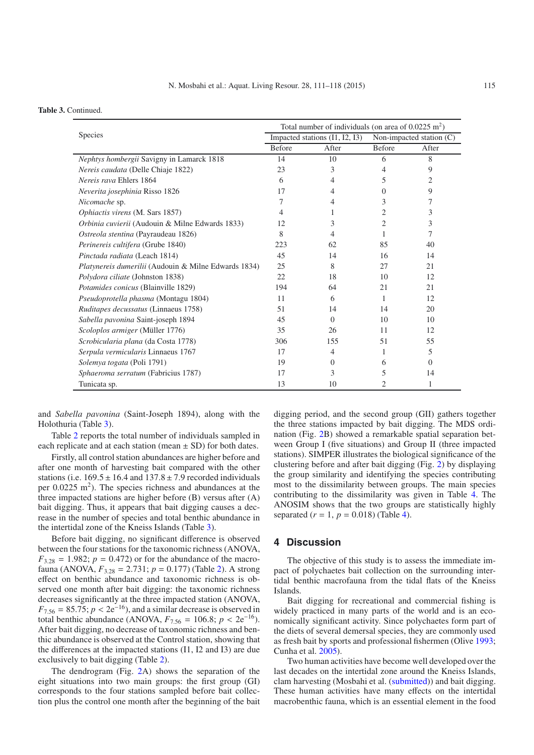#### **Table 3.** Continued.

|                                                      | Total number of individuals (on area of $0.0225 \text{ m}^2$ ) |                                |                          |          |  |
|------------------------------------------------------|----------------------------------------------------------------|--------------------------------|--------------------------|----------|--|
| Species                                              |                                                                | Impacted stations (I1, I2, I3) | Non-impacted station (C) |          |  |
|                                                      | <b>Before</b>                                                  | After                          | Before                   | After    |  |
| Nephtys hombergii Savigny in Lamarck 1818            | 14                                                             | 10                             | 6                        | 8        |  |
| Nereis caudata (Delle Chiaje 1822)                   | 23                                                             | 3                              | 4                        | 9        |  |
| Nereis rava Ehlers 1864                              | 6                                                              | 4                              | 5                        | 2        |  |
| Neverita josephinia Risso 1826                       | 17                                                             | 4                              | $\Omega$                 | 9        |  |
| Nicomache sp.                                        | 7                                                              | 4                              | 3                        | 7        |  |
| Ophiactis virens (M. Sars 1857)                      | 4                                                              | 1                              | 2                        | 3        |  |
| Orbinia cuvierii (Audouin & Milne Edwards 1833)      | 12                                                             | 3                              | 2                        | 3        |  |
| Ostreola stentina (Payraudeau 1826)                  | 8                                                              | 4                              | 1                        | 7        |  |
| Perinereis cultifera (Grube 1840)                    | 223                                                            | 62                             | 85                       | 40       |  |
| Pinctada radiata (Leach 1814)                        | 45                                                             | 14                             | 16                       | 14       |  |
| Platynereis dumerilii (Audouin & Milne Edwards 1834) | 25                                                             | 8                              | 27                       | 21       |  |
| Polydora ciliate (Johnston 1838)                     | 22                                                             | 18                             | 10                       | 12       |  |
| Potamides conicus (Blainville 1829)                  | 194                                                            | 64                             | 21                       | 21       |  |
| Pseudoprotella phasma (Montagu 1804)                 | 11                                                             | 6                              | 1                        | 12       |  |
| Ruditapes decussatus (Linnaeus 1758)                 | 51                                                             | 14                             | 14                       | 20       |  |
| Sabella pavonina Saint-joseph 1894                   | 45                                                             | $\Omega$                       | 10                       | 10       |  |
| Scoloplos armiger (Müller 1776)                      | 35                                                             | 26                             | 11                       | 12       |  |
| Scrobicularia plana (da Costa 1778)                  | 306                                                            | 155                            | 51                       | 55       |  |
| Serpula vermicularis Linnaeus 1767                   | 17                                                             | 4                              | 1                        | 5        |  |
| Solemya togata (Poli 1791)                           | 19                                                             | $\Omega$                       | 6                        | $\Omega$ |  |
| Sphaeroma serratum (Fabricius 1787)                  | 17                                                             | 3                              | 5                        | 14       |  |
| Tunicata sp.                                         | 13                                                             | 10                             | 2                        | 1        |  |

and *Sabella pavonina* (Saint-Joseph 1894), along with the Holothuria (Table 3).

Table 2 reports the total number of individuals sampled in each replicate and at each station (mean  $\pm$  SD) for both dates.

Firstly, all control station abundances are higher before and after one month of harvesting bait compared with the other stations (i.e.  $169.5 \pm 16.4$  and  $137.8 \pm 7.9$  recorded individuals per  $0.0225 \text{ m}^2$ ). The species richness and abundances at the three impacted stations are higher before (B) versus after (A) bait digging. Thus, it appears that bait digging causes a decrease in the number of species and total benthic abundance in the intertidal zone of the Kneiss Islands (Table 3).

Before bait digging, no significant difference is observed between the four stations for the taxonomic richness (ANOVA,  $F_{3.28} = 1.982$ ;  $p = 0.472$ ) or for the abundance of the macrofauna (ANOVA, *F*3.<sup>28</sup> = 2.731; *p* = 0.177) (Table 2). A strong effect on benthic abundance and taxonomic richness is observed one month after bait digging: the taxonomic richness decreases significantly at the three impacted station (ANOVA,  $F_{7.56} = 85.75$ ;  $p < 2e^{-16}$ ), and a similar decrease is observed in total benthic abundance (ANOVA,  $F_{7.56} = 106.8$ ;  $p < 2e^{-16}$ ). After bait digging, no decrease of taxonomic richness and benthic abundance is observed at the Control station, showing that the differences at the impacted stations (I1, I2 and I3) are due exclusively to bait digging (Table 2).

The dendrogram (Fig. 2A) shows the separation of the eight situations into two main groups: the first group (GI) corresponds to the four stations sampled before bait collection plus the control one month after the beginning of the bait

digging period, and the second group (GII) gathers together the three stations impacted by bait digging. The MDS ordination (Fig. 2B) showed a remarkable spatial separation between Group I (five situations) and Group II (three impacted stations). SIMPER illustrates the biological significance of the clustering before and after bait digging (Fig. 2) by displaying the group similarity and identifying the species contributing most to the dissimilarity between groups. The main species contributing to the dissimilarity was given in Table 4. The ANOSIM shows that the two groups are statistically highly separated  $(r = 1, p = 0.018)$  (Table 4).

#### **4 Discussion**

The objective of this study is to assess the immediate impact of polychaetes bait collection on the surrounding intertidal benthic macrofauna from the tidal flats of the Kneiss Islands.

Bait digging for recreational and commercial fishing is widely practiced in many parts of the world and is an economically significant activity. Since polychaetes form part of the diets of several demersal species, they are commonly used as fresh bait by sports and professional fishermen (Olive 1993; Cunha et al. 2005).

Two human activities have become well developed over the last decades on the intertidal zone around the Kneiss Islands, clam harvesting (Mosbahi et al. (submitted)) and bait digging. These human activities have many effects on the intertidal macrobenthic fauna, which is an essential element in the food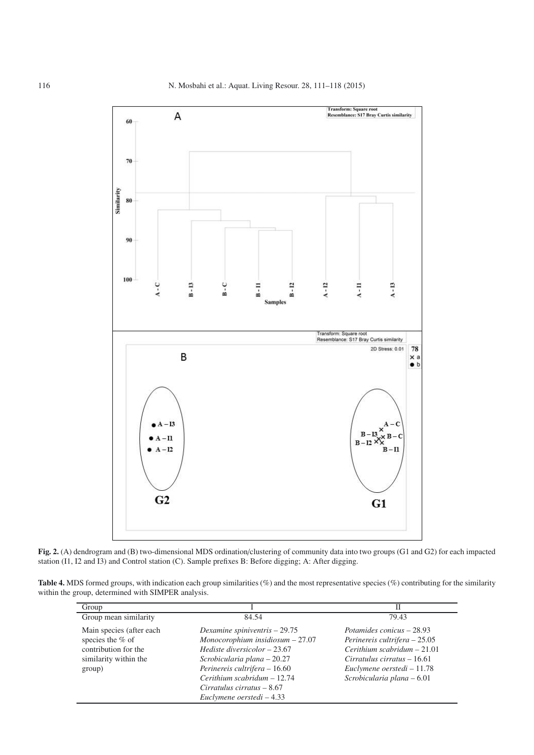

**Fig. 2.** (A) dendrogram and (B) two-dimensional MDS ordination/clustering of community data into two groups (G1 and G2) for each impacted station (I1, I2 and I3) and Control station (C). Sample prefixes B: Before digging; A: After digging.

**Table 4.** MDS formed groups, with indication each group similarities (%) and the most representative species (%) contributing for the similarity within the group, determined with SIMPER analysis.

| Group                    |                                      | П                              |
|--------------------------|--------------------------------------|--------------------------------|
| Group mean similarity    | 84.54                                | 79.43                          |
| Main species (after each | Dexamine spiniventris $-29.75$       | Potamides conicus – 28.93      |
| species the $%$ of       | Monocorophium insidiosum $-27.07$    | Perinereis cultrifera $-25.05$ |
| contribution for the     | <i>Hediste diversicolor</i> $-23.67$ | Cerithium scabridum $-21.01$   |
| similarity within the    | Scrobicularia plana – 20.27          | $Circuitus$ cirratus $-16.61$  |
| group)                   | Perinereis cultrifera – 16.60        | Euclymene oerstedi – 11.78     |
|                          | $Cerithium scabridum - 12.74$        | Scrobicularia plana – 6.01     |
|                          | $Cirratulus$ cirratus $-8.67$        |                                |
|                          | Euclymene oerstedi – 4.33            |                                |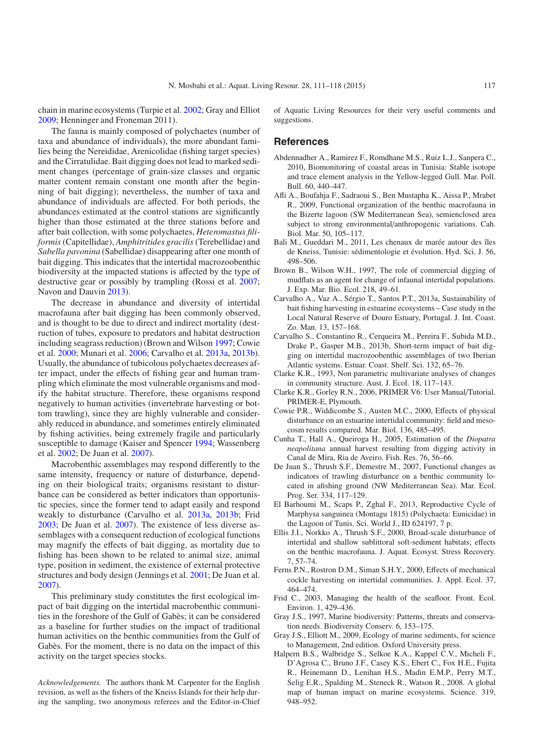chain in marine ecosystems (Turpie et al. 2002; Gray and Elliot 2009; Henninger and Froneman 2011).

The fauna is mainly composed of polychaetes (number of taxa and abundance of individuals), the more abundant families being the Nereididae, Arenicolidae (fishing target species) and the Cirratulidae. Bait digging does not lead to marked sediment changes (percentage of grain-size classes and organic matter content remain constant one month after the beginning of bait digging); nevertheless, the number of taxa and abundance of individuals are affected. For both periods, the abundances estimated at the control stations are significantly higher than those estimated at the three stations before and after bait collection, with some polychaetes, *Heteromastus filiformis* (Capitellidae), *Amphitritides gracilis* (Terebellidae) and *Sabella pavonina* (Sabellidae) disappearing after one month of bait digging. This indicates that the intertidal macrozoobenthic biodiversity at the impacted stations is affected by the type of destructive gear or possibly by trampling (Rossi et al. 2007; Navon and Dauvin 2013).

The decrease in abundance and diversity of intertidal macrofauna after bait digging has been commonly observed, and is thought to be due to direct and indirect mortality (destruction of tubes, exposure to predators and habitat destruction including seagrass reduction) (Brown and Wilson 1997; Cowie et al. 2000; Munari et al. 2006; Carvalho et al. 2013a, 2013b). Usually, the abundance of tubicolous polychaetes decreases after impact, under the effects of fishing gear and human trampling which eliminate the most vulnerable organisms and modify the habitat structure. Therefore, these organisms respond negatively to human activities (invertebrate harvesting or bottom trawling), since they are highly vulnerable and considerably reduced in abundance, and sometimes entirely eliminated by fishing activities, being extremely fragile and particularly susceptible to damage (Kaiser and Spencer 1994; Wassenberg et al. 2002; De Juan et al. 2007).

Macrobenthic assemblages may respond differently to the same intensity, frequency or nature of disturbance, depending on their biological traits; organisms resistant to disturbance can be considered as better indicators than opportunistic species, since the former tend to adapt easily and respond weakly to disturbance (Carvalho et al. 2013a, 2013b; Frid 2003; De Juan et al. 2007). The existence of less diverse assemblages with a consequent reduction of ecological functions may magnify the effects of bait digging, as mortality due to fishing has been shown to be related to animal size, animal type, position in sediment, the existence of external protective structures and body design (Jennings et al. 2001; De Juan et al. 2007).

This preliminary study constitutes the first ecological impact of bait digging on the intertidal macrobenthic communities in the foreshore of the Gulf of Gabès; it can be considered as a baseline for further studies on the impact of traditional human activities on the benthic communities from the Gulf of Gabès. For the moment, there is no data on the impact of this activity on the target species stocks.

*Acknowledgements.* The authors thank M. Carpenter for the English revision, as well as the fishers of the Kneiss Islands for their help during the sampling, two anonymous referees and the Editor-in-Chief of Aquatic Living Resources for their very useful comments and suggestions.

#### **References**

- Abdennadher A., Ramirez F., Romdhane M.S., Ruiz L.J., Sanpera C., 2010, Biomonitoring of coastal areas in Tunisia: Stable isotope and trace element analysis in the Yellow-legged Gull. Mar. Poll. Bull. 60, 440–447.
- Afli A., Boufahja F., Sadraoui S., Ben Mustapha K., Aissa P., Mrabet R., 2009, Functional organization of the benthic macrofauna in the Bizerte lagoon (SW Mediterranean Sea), semienclosed area subject to strong environmental/anthropogenic variations. Cah. Biol. Mar. 50, 105–117.
- Bali M., Gueddari M., 2011, Les chenaux de marée autour des îles de Kneiss, Tunisie: sédimentologie et évolution. Hyd. Sci. J. 56, 498–506.
- Brown B., Wilson W.H., 1997, The role of commercial digging of mudflats as an agent for change of infaunal intertidal populations. J. Exp. Mar. Bio. Ecol. 218, 49–61.
- Carvalho A., Vaz A., Sérgio T., Santos P.T., 2013a, Sustainability of bait fishing harvesting in estuarine ecosystems – Case study in the Local Natural Reserve of Douro Estuary, Portugal. J. Int. Coast. Zo. Man. 13, 157–168.
- Carvalho S., Constantino R., Cerqueira M., Pereira F., Subida M.D., Drake P., Gasper M.B., 2013b, Short-term impact of bait digging on intertidal macrozoobenthic assemblages of two Iberian Atlantic systems. Estuar. Coast. Shelf. Sci. 132, 65–76.
- Clarke K.R., 1993, Non parametric multivariate analyses of changes in community structure. Aust. J. Ecol. 18, 117–143.
- Clarke K.R., Gorley R.N., 2006, PRIMER V6: User Manual/Tutorial. PRIMER-E, Plymouth.
- Cowie P.R., Widdicombe S., Austen M.C., 2000, Effects of physical disturbance on an estuarine intertidal community: field and mesocosm results compared. Mar. Biol. 136, 485–495.
- Cunha T., Hall A., Queiroga H., 2005, Estimation of the *Diopatra neapolitana* annual harvest resulting from digging activity in Canal de Mira, Ria de Aveiro. Fish. Res. 76, 56–66.
- De Juan S., Thrush S.F., Demestre M., 2007, Functional changes as indicators of trawling disturbance on a benthic community located in afishing ground (NW Mediterranean Sea). Mar. Ecol. Prog. Ser. 334, 117–129.
- El Barhoumi M., Scaps P., Zghal F., 2013, Reproductive Cycle of Marphysa sanguinea (Montagu 1815) (Polychaeta: Eunicidae) in the Lagoon of Tunis. Sci. World J., ID 624197, 7 p.
- Ellis J.I., Norkko A., Thrush S.F., 2000, Broad-scale disturbance of intertidal and shallow sublittoral soft-sediment habitats; effects on the benthic macrofauna. J. Aquat. Ecosyst. Stress Recovery. 7, 57–74.
- Ferns P.N., Rostron D.M., Siman S.H.Y., 2000, Effects of mechanical cockle harvesting on intertidal communities. J. Appl. Ecol. 37, 464–474.
- Frid C., 2003, Managing the health of the seafloor. Front. Ecol. Environ. 1, 429–436.
- Gray J.S., 1997, Marine biodiversity: Patterns, threats and conservation needs. Biodiversity Conserv. 6, 153–175.
- Gray J.S., Elliott M., 2009, Ecology of marine sediments, for science to Management, 2nd edition. Oxford University press.
- Halpern B.S., Walbridge S., Selkoe K.A., Kappel C.V., Micheli F., D'Agrosa C., Bruno J.F., Casey K.S., Ebert C., Fox H.E., Fujita R., Heinemann D., Lenihan H.S., Madin E.M.P., Perry M.T., Selig E.R., Spalding M., Steneck R., Watson R., 2008. A global map of human impact on marine ecosystems. Science. 319, 948–952.